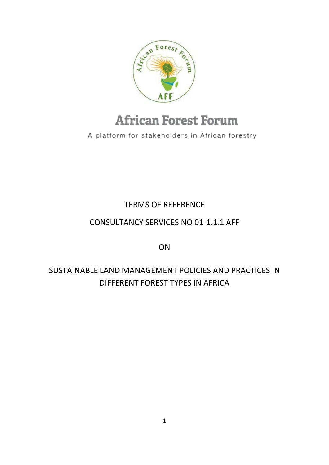

# **African Forest Forum**

A platform for stakeholders in African forestry

TERMS OF REFERENCE

### CONSULTANCY SERVICES NO 01-1.1.1 AFF

ON

## SUSTAINABLE LAND MANAGEMENT POLICIES AND PRACTICES IN DIFFERENT FOREST TYPES IN AFRICA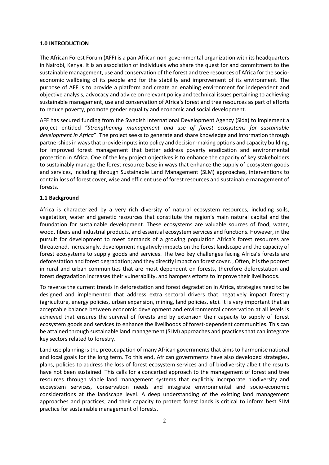#### **1.0 INTRODUCTION**

The African Forest Forum (AFF) is a pan-African non-governmental organization with its headquarters in Nairobi, Kenya. It is an association of individuals who share the quest for and commitment to the sustainable management, use and conservation of the forest and tree resources of Africa for the socioeconomic wellbeing of its people and for the stability and improvement of its environment. The purpose of AFF is to provide a platform and create an enabling environment for independent and objective analysis, advocacy and advice on relevant policy and technical issues pertaining to achieving sustainable management, use and conservation of Africa's forest and tree resources as part of efforts to reduce poverty, promote gender equality and economic and social development.

AFF has secured funding from the Swedish International Development Agency (Sida) to implement a project entitled "*Strengthening management and use of forest ecosystems for sustainable development in Africa*". The project seeks to generate and share knowledge and information through partnerships in ways that provide inputs into policy and decision-making options and capacity building, for improved forest management that better address poverty eradication and environmental protection in Africa. One of the key project objectives is to enhance the capacity of key stakeholders to sustainably manage the forest resource base in ways that enhance the supply of ecosystem goods and services, including through Sustainable Land Management (SLM) approaches, interventions to contain loss of forest cover, wise and efficient use of forest resources and sustainable management of forests.

#### **1.1 Background**

Africa is characterized by a very rich diversity of natural ecosystem resources, including soils, vegetation, water and genetic resources that constitute the region's main natural capital and the foundation for sustainable development. These ecosystems are valuable sources of food, water, wood, fibers and industrial products, and essential ecosystem services and functions. However, in the pursuit for development to meet demands of a growing population Africa's forest resources are threatened. Increasingly, development negatively impacts on the forest landscape and the capacity of forest ecosystems to supply goods and services. The two key challenges facing Africa's forests are deforestation and forest degradation; and they directly impact on forest cover., Often, it is the poorest in rural and urban communities that are most dependent on forests, therefore deforestation and forest degradation increases their vulnerability, and hampers efforts to improve their livelihoods.

To reverse the current trends in deforestation and forest degradation in Africa, strategies need to be designed and implemented that address extra sectoral drivers that negatively impact forestry (agriculture, energy policies, urban expansion, mining, land policies, etc). It is very important that an acceptable balance between economic development and environmental conservation at all levels is achieved that ensures the survival of forests and by extension their capacity to supply of forest ecosystem goods and services to enhance the livelihoods of forest-dependent communities. This can be attained through sustainable land management (SLM) approaches and practices that can integrate key sectors related to forestry.

Land use planning is the preoccupation of many African governments that aims to harmonise national and local goals for the long term. To this end, African governments have also developed strategies, plans, policies to address the loss of forest ecosystem services and of biodiversity albeit the results have not been sustained. This calls for a concerted approach to the management of forest and tree resources through viable land management systems that explicitly incorporate biodiversity and ecosystem services, conservation needs and integrate environmental and socio-economic considerations at the landscape level. A deep understanding of the existing land management approaches and practices; and their capacity to protect forest lands is critical to inform best SLM practice for sustainable management of forests.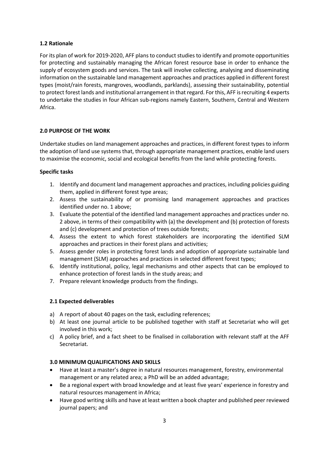#### **1.2 Rationale**

For its plan of work for 2019-2020, AFF plans to conduct studies to identify and promote opportunities for protecting and sustainably managing the African forest resource base in order to enhance the supply of ecosystem goods and services. The task will involve collecting, analysing and disseminating information on the sustainable land management approaches and practices applied in different forest types (moist/rain forests, mangroves, woodlands, parklands), assessing their sustainability, potential to protect forest lands and institutional arrangement in that regard. For this, AFF is recruiting 4 experts to undertake the studies in four African sub-regions namely Eastern, Southern, Central and Western Africa.

#### **2.0 PURPOSE OF THE WORK**

Undertake studies on land management approaches and practices, in different forest types to inform the adoption of land use systems that, through appropriate management practices, enable land users to maximise the economic, social and ecological benefits from the land while protecting forests.

#### **Specific tasks**

- 1. Identify and document land management approaches and practices, including policies guiding them, applied in different forest type areas;
- 2. Assess the sustainability of or promising land management approaches and practices identified under no. 1 above;
- 3. Evaluate the potential of the identified land management approaches and practices under no. 2 above, in terms of their compatibility with (a) the development and (b) protection of forests and (c) development and protection of trees outside forests;
- 4. Assess the extent to which forest stakeholders are incorporating the identified SLM approaches and practices in their forest plans and activities;
- 5. Assess gender roles in protecting forest lands and adoption of appropriate sustainable land management (SLM) approaches and practices in selected different forest types;
- 6. Identify institutional, policy, legal mechanisms and other aspects that can be employed to enhance protection of forest lands in the study areas; and
- 7. Prepare relevant knowledge products from the findings.

#### **2.1 Expected deliverables**

- a) A report of about 40 pages on the task, excluding references;
- b) At least one journal article to be published together with staff at Secretariat who will get involved in this work;
- c) A policy brief, and a fact sheet to be finalised in collaboration with relevant staff at the AFF Secretariat.

#### **3.0 MINIMUM QUALIFICATIONS AND SKILLS**

- Have at least a master's degree in natural resources management, forestry, environmental management or any related area; a PhD will be an added advantage;
- Be a regional expert with broad knowledge and at least five years' experience in forestry and natural resources management in Africa;
- Have good writing skills and have at least written a book chapter and published peer reviewed journal papers; and